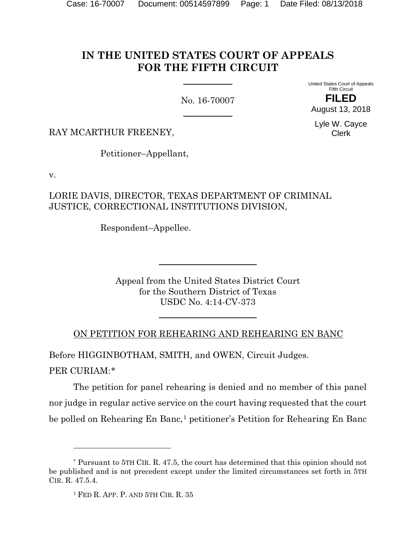# **IN THE UNITED STATES COURT OF APPEALS FOR THE FIFTH CIRCUIT**

No. 16-70007

United States Court of Appeals Fifth Circuit **FILED** August 13, 2018

Lyle W. Cayce Clerk

RAY MCARTHUR FREENEY,

Petitioner–Appellant,

v.

LORIE DAVIS, DIRECTOR, TEXAS DEPARTMENT OF CRIMINAL JUSTICE, CORRECTIONAL INSTITUTIONS DIVISION,

Respondent–Appellee.

Appeal from the United States District Court for the Southern District of Texas USDC No. 4:14-CV-373

ON PETITION FOR REHEARING AND REHEARING EN BANC

Before HIGGINBOTHAM, SMITH, and OWEN, Circuit Judges.

PER CURIAM:[\\*](#page-0-0)

l

The petition for panel rehearing is denied and no member of this panel nor judge in regular active service on the court having requested that the court be polled on Rehearing En Banc,<sup>[1](#page-0-1)</sup> petitioner's Petition for Rehearing En Banc

<span id="page-0-1"></span><span id="page-0-0"></span><sup>\*</sup> Pursuant to 5TH CIR. R. 47.5, the court has determined that this opinion should not be published and is not precedent except under the limited circumstances set forth in 5TH CIR. R. 47.5.4.

<sup>1</sup> FED R. APP. P. AND 5TH CIR. R. 35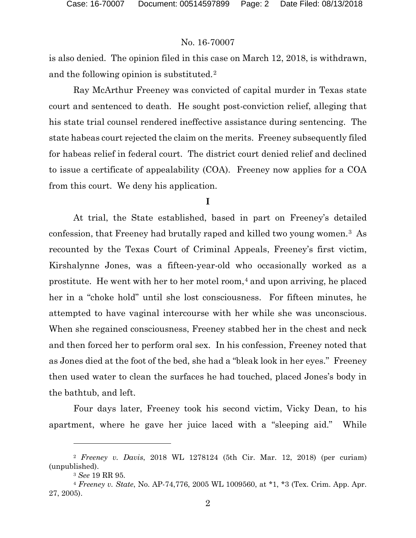is also denied. The opinion filed in this case on March 12, 2018, is withdrawn, and the following opinion is substituted.[2](#page-1-0)

Ray McArthur Freeney was convicted of capital murder in Texas state court and sentenced to death. He sought post-conviction relief, alleging that his state trial counsel rendered ineffective assistance during sentencing. The state habeas court rejected the claim on the merits. Freeney subsequently filed for habeas relief in federal court. The district court denied relief and declined to issue a certificate of appealability (COA). Freeney now applies for a COA from this court. We deny his application.

#### **I**

At trial, the State established, based in part on Freeney's detailed confession, that Freeney had brutally raped and killed two young women.[3](#page-1-1) As recounted by the Texas Court of Criminal Appeals, Freeney's first victim, Kirshalynne Jones, was a fifteen-year-old who occasionally worked as a prostitute. He went with her to her motel room, $4$  and upon arriving, he placed her in a "choke hold" until she lost consciousness. For fifteen minutes, he attempted to have vaginal intercourse with her while she was unconscious. When she regained consciousness, Freeney stabbed her in the chest and neck and then forced her to perform oral sex. In his confession, Freeney noted that as Jones died at the foot of the bed, she had a "bleak look in her eyes." Freeney then used water to clean the surfaces he had touched, placed Jones's body in the bathtub, and left.

Four days later, Freeney took his second victim, Vicky Dean, to his apartment, where he gave her juice laced with a "sleeping aid." While

<span id="page-1-0"></span><sup>2</sup> *Freeney v. Davis*, 2018 WL 1278124 (5th Cir. Mar. 12, 2018) (per curiam) (unpublished).

<sup>3</sup> *See* 19 RR 95.

<span id="page-1-2"></span><span id="page-1-1"></span><sup>4</sup> *Freeney v. State*, No. AP-74,776, 2005 WL 1009560, at \*1, \*3 (Tex. Crim. App. Apr. 27, 2005).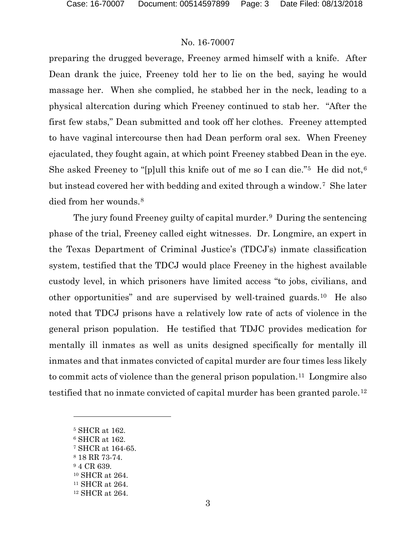preparing the drugged beverage, Freeney armed himself with a knife. After Dean drank the juice, Freeney told her to lie on the bed, saying he would massage her. When she complied, he stabbed her in the neck, leading to a physical altercation during which Freeney continued to stab her. "After the first few stabs," Dean submitted and took off her clothes. Freeney attempted to have vaginal intercourse then had Dean perform oral sex. When Freeney ejaculated, they fought again, at which point Freeney stabbed Dean in the eye. She asked Freeney to "[p]ull this knife out of me so I can die."<sup>5</sup> He did not,<sup>[6](#page-2-1)</sup> but instead covered her with bedding and exited through a window.[7](#page-2-2) She later died from her wounds.<sup>8</sup>

The jury found Freeney guilty of capital murder.[9](#page-2-4) During the sentencing phase of the trial, Freeney called eight witnesses. Dr. Longmire, an expert in the Texas Department of Criminal Justice's (TDCJ's) inmate classification system, testified that the TDCJ would place Freeney in the highest available custody level, in which prisoners have limited access "to jobs, civilians, and other opportunities" and are supervised by well-trained guards.[10](#page-2-5) He also noted that TDCJ prisons have a relatively low rate of acts of violence in the general prison population. He testified that TDJC provides medication for mentally ill inmates as well as units designed specifically for mentally ill inmates and that inmates convicted of capital murder are four times less likely to commit acts of violence than the general prison population.[11](#page-2-6) Longmire also testified that no inmate convicted of capital murder has been granted parole.<sup>[12](#page-2-7)</sup>

- <span id="page-2-1"></span><sup>6</sup> SHCR at 162.
- <span id="page-2-2"></span><sup>7</sup> SHCR at 164-65.
- <span id="page-2-3"></span><sup>8</sup> 18 RR 73-74.
- <span id="page-2-5"></span><span id="page-2-4"></span><sup>9</sup> 4 CR 639.
- <sup>10</sup> SHCR at 264.
- <span id="page-2-6"></span><sup>11</sup> SHCR at 264.
- <span id="page-2-7"></span><sup>12</sup> SHCR at 264.

<span id="page-2-0"></span><sup>5</sup> SHCR at 162.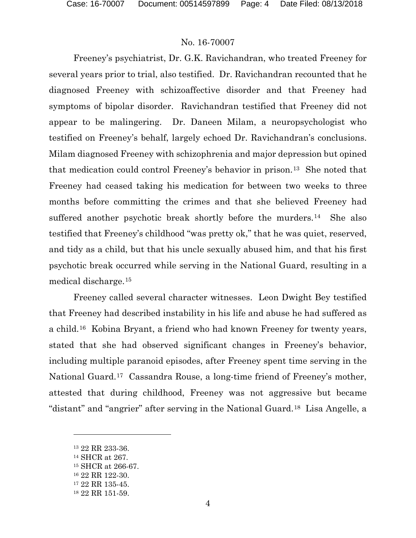Freeney's psychiatrist, Dr. G.K. Ravichandran, who treated Freeney for several years prior to trial, also testified. Dr. Ravichandran recounted that he diagnosed Freeney with schizoaffective disorder and that Freeney had symptoms of bipolar disorder. Ravichandran testified that Freeney did not appear to be malingering. Dr. Daneen Milam, a neuropsychologist who testified on Freeney's behalf, largely echoed Dr. Ravichandran's conclusions. Milam diagnosed Freeney with schizophrenia and major depression but opined that medication could control Freeney's behavior in prison.[13](#page-3-0) She noted that Freeney had ceased taking his medication for between two weeks to three months before committing the crimes and that she believed Freeney had suffered another psychotic break shortly before the murders.<sup>14</sup> She also testified that Freeney's childhood "was pretty ok," that he was quiet, reserved, and tidy as a child, but that his uncle sexually abused him, and that his first psychotic break occurred while serving in the National Guard, resulting in a medical discharge.[15](#page-3-2)

Freeney called several character witnesses. Leon Dwight Bey testified that Freeney had described instability in his life and abuse he had suffered as a child.[16](#page-3-3) Kobina Bryant, a friend who had known Freeney for twenty years, stated that she had observed significant changes in Freeney's behavior, including multiple paranoid episodes, after Freeney spent time serving in the National Guard.[17](#page-3-4) Cassandra Rouse, a long-time friend of Freeney's mother, attested that during childhood, Freeney was not aggressive but became "distant" and "angrier" after serving in the National Guard.[18](#page-3-5) Lisa Angelle, a

<span id="page-3-0"></span><sup>13</sup> 22 RR 233-36.

<span id="page-3-1"></span><sup>14</sup> SHCR at 267.

<span id="page-3-2"></span><sup>15</sup> SHCR at 266-67.

<span id="page-3-3"></span><sup>16</sup> 22 RR 122-30.

<span id="page-3-4"></span><sup>17</sup> 22 RR 135-45.

<span id="page-3-5"></span><sup>18</sup> 22 RR 151-59.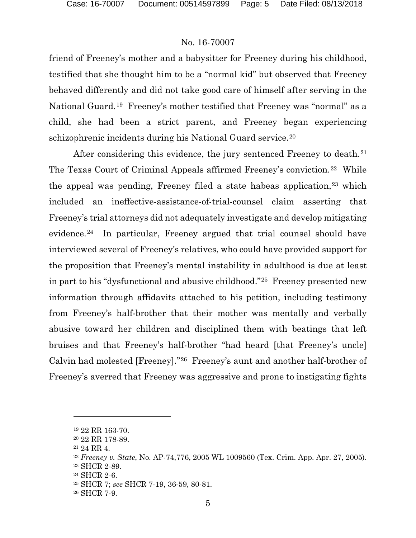friend of Freeney's mother and a babysitter for Freeney during his childhood, testified that she thought him to be a "normal kid" but observed that Freeney behaved differently and did not take good care of himself after serving in the National Guard.[19](#page-4-0) Freeney's mother testified that Freeney was "normal" as a child, she had been a strict parent, and Freeney began experiencing schizophrenic incidents during his National Guard service.<sup>[20](#page-4-1)</sup>

After considering this evidence, the jury sentenced Freeney to death.<sup>[21](#page-4-2)</sup> The Texas Court of Criminal Appeals affirmed Freeney's conviction.[22](#page-4-3) While the appeal was pending, Freeney filed a state habeas application,<sup>[23](#page-4-4)</sup> which included an ineffective-assistance-of-trial-counsel claim asserting that Freeney's trial attorneys did not adequately investigate and develop mitigating evidence.[24](#page-4-5) In particular, Freeney argued that trial counsel should have interviewed several of Freeney's relatives, who could have provided support for the proposition that Freeney's mental instability in adulthood is due at least in part to his "dysfunctional and abusive childhood."[25](#page-4-6) Freeney presented new information through affidavits attached to his petition, including testimony from Freeney's half-brother that their mother was mentally and verbally abusive toward her children and disciplined them with beatings that left bruises and that Freeney's half-brother "had heard [that Freeney's uncle] Calvin had molested [Freeney]."[26](#page-4-7) Freeney's aunt and another half-brother of Freeney's averred that Freeney was aggressive and prone to instigating fights

<sup>19</sup> 22 RR 163-70.

<span id="page-4-2"></span><span id="page-4-1"></span><span id="page-4-0"></span><sup>20</sup> 22 RR 178-89.

<sup>21</sup> 24 RR 4.

<span id="page-4-3"></span><sup>22</sup> *Freeney v. State*, No. AP-74,776, 2005 WL 1009560 (Tex. Crim. App. Apr. 27, 2005).

<span id="page-4-5"></span><span id="page-4-4"></span><sup>23</sup> SHCR 2-89.

<sup>24</sup> SHCR 2-6.

<span id="page-4-7"></span><span id="page-4-6"></span><sup>25</sup> SHCR 7; *see* SHCR 7-19, 36-59, 80-81.

<sup>26</sup> SHCR 7-9.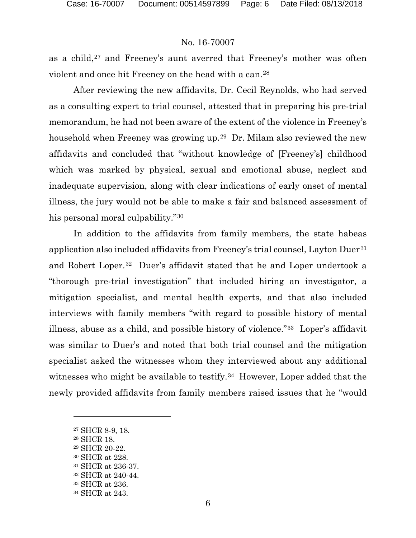as a child,<sup>[27](#page-5-0)</sup> and Freeney's aunt averred that Freeney's mother was often violent and once hit Freeney on the head with a can.[28](#page-5-1)

After reviewing the new affidavits, Dr. Cecil Reynolds, who had served as a consulting expert to trial counsel, attested that in preparing his pre-trial memorandum, he had not been aware of the extent of the violence in Freeney's household when Freeney was growing up.[29](#page-5-2) Dr. Milam also reviewed the new affidavits and concluded that "without knowledge of [Freeney's] childhood which was marked by physical, sexual and emotional abuse, neglect and inadequate supervision, along with clear indications of early onset of mental illness, the jury would not be able to make a fair and balanced assessment of his personal moral culpability."[30](#page-5-3)

In addition to the affidavits from family members, the state habeas application also included affidavits from Freeney's trial counsel, Layton Duer<sup>[31](#page-5-4)</sup> and Robert Loper.[32](#page-5-5) Duer's affidavit stated that he and Loper undertook a "thorough pre-trial investigation" that included hiring an investigator, a mitigation specialist, and mental health experts, and that also included interviews with family members "with regard to possible history of mental illness, abuse as a child, and possible history of violence."[33](#page-5-6) Loper's affidavit was similar to Duer's and noted that both trial counsel and the mitigation specialist asked the witnesses whom they interviewed about any additional witnesses who might be available to testify.<sup>34</sup> However, Loper added that the newly provided affidavits from family members raised issues that he "would

<span id="page-5-0"></span><sup>27</sup> SHCR 8-9, 18.

<span id="page-5-2"></span><span id="page-5-1"></span><sup>28</sup> SHCR 18.

<sup>29</sup> SHCR 20-22.

<span id="page-5-3"></span><sup>30</sup> SHCR at 228.

<span id="page-5-5"></span><span id="page-5-4"></span><sup>31</sup> SHCR at 236-37.

<sup>32</sup> SHCR at 240-44.

<span id="page-5-6"></span><sup>33</sup> SHCR at 236.

<span id="page-5-7"></span><sup>34</sup> SHCR at 243.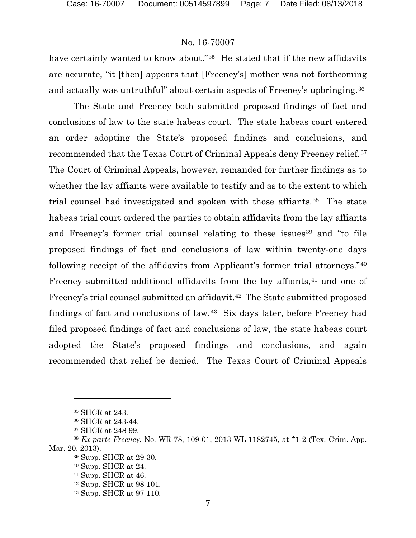have certainly wanted to know about."<sup>[35](#page-6-0)</sup> He stated that if the new affidavits are accurate, "it [then] appears that [Freeney's] mother was not forthcoming and actually was untruthful" about certain aspects of Freeney's upbringing.[36](#page-6-1)

The State and Freeney both submitted proposed findings of fact and conclusions of law to the state habeas court. The state habeas court entered an order adopting the State's proposed findings and conclusions, and recommended that the Texas Court of Criminal Appeals deny Freeney relief.[37](#page-6-2) The Court of Criminal Appeals, however, remanded for further findings as to whether the lay affiants were available to testify and as to the extent to which trial counsel had investigated and spoken with those affiants.<sup>[38](#page-6-3)</sup> The state habeas trial court ordered the parties to obtain affidavits from the lay affiants and Freeney's former trial counsel relating to these issues<sup>[39](#page-6-4)</sup> and "to file" proposed findings of fact and conclusions of law within twenty-one days following receipt of the affidavits from Applicant's former trial attorneys."[40](#page-6-5) Freeney submitted additional affidavits from the lay affiants,<sup>[41](#page-6-6)</sup> and one of Freeney's trial counsel submitted an affidavit.<sup>42</sup> The State submitted proposed findings of fact and conclusions of law.[43](#page-6-8) Six days later, before Freeney had filed proposed findings of fact and conclusions of law, the state habeas court adopted the State's proposed findings and conclusions, and again recommended that relief be denied. The Texas Court of Criminal Appeals

<sup>35</sup> SHCR at 243.

<sup>36</sup> SHCR at 243-44.

<sup>37</sup> SHCR at 248-99.

<span id="page-6-8"></span><span id="page-6-7"></span><span id="page-6-6"></span><span id="page-6-5"></span><span id="page-6-4"></span><span id="page-6-3"></span><span id="page-6-2"></span><span id="page-6-1"></span><span id="page-6-0"></span><sup>38</sup> *Ex parte Freeney*, No. WR-78, 109-01, 2013 WL 1182745, at \*1-2 (Tex. Crim. App. Mar. 20, 2013).

<sup>39</sup> Supp. SHCR at 29-30.

<sup>40</sup> Supp. SHCR at 24.

<sup>41</sup> Supp. SHCR at 46.

<sup>42</sup> Supp. SHCR at 98-101.

<sup>43</sup> Supp. SHCR at 97-110.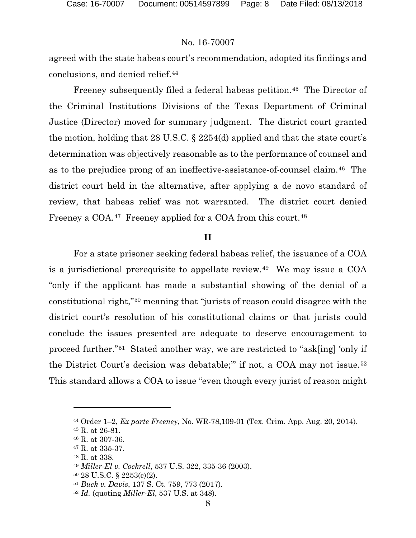agreed with the state habeas court's recommendation, adopted its findings and conclusions, and denied relief.[44](#page-7-0)

Freeney subsequently filed a federal habeas petition.<sup>45</sup> The Director of the Criminal Institutions Divisions of the Texas Department of Criminal Justice (Director) moved for summary judgment. The district court granted the motion, holding that 28 U.S.C. § 2254(d) applied and that the state court's determination was objectively reasonable as to the performance of counsel and as to the prejudice prong of an ineffective-assistance-of-counsel claim.[46](#page-7-2) The district court held in the alternative, after applying a de novo standard of review, that habeas relief was not warranted. The district court denied Freeney a COA.<sup>47</sup> Freeney applied for a COA from this court.<sup>[48](#page-7-4)</sup>

#### **II**

For a state prisoner seeking federal habeas relief, the issuance of a COA is a jurisdictional prerequisite to appellate review.[49](#page-7-5) We may issue a COA "only if the applicant has made a substantial showing of the denial of a constitutional right,"[50](#page-7-6) meaning that "jurists of reason could disagree with the district court's resolution of his constitutional claims or that jurists could conclude the issues presented are adequate to deserve encouragement to proceed further."[51](#page-7-7) Stated another way, we are restricted to "ask[ing] 'only if the District Court's decision was debatable;'" if not, a COA may not issue.[52](#page-7-8) This standard allows a COA to issue "even though every jurist of reason might

<span id="page-7-1"></span><span id="page-7-0"></span><sup>44</sup> Order 1–2, *Ex parte Freeney*, No. WR-78,109-01 (Tex. Crim. App. Aug. 20, 2014).

<sup>45</sup> R. at 26-81.

<span id="page-7-2"></span><sup>46</sup> R. at 307-36.

<span id="page-7-3"></span><sup>47</sup> R. at 335-37.

<span id="page-7-4"></span><sup>48</sup> R. at 338.

<span id="page-7-6"></span><span id="page-7-5"></span><sup>49</sup> *Miller-El v. Cockrell*, 537 U.S. 322, 335-36 (2003).

<sup>50</sup> 28 U.S.C. § 2253(c)(2).

<span id="page-7-7"></span><sup>51</sup> *Buck v. Davis*, 137 S. Ct. 759, 773 (2017).

<span id="page-7-8"></span><sup>52</sup> *Id.* (quoting *Miller-El*, 537 U.S. at 348).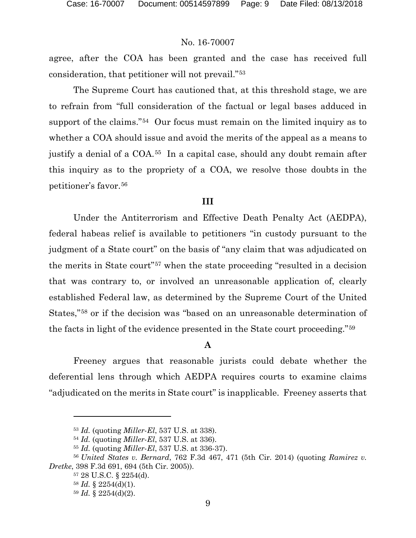agree, after the COA has been granted and the case has received full consideration, that petitioner will not prevail."[53](#page-8-0)

The Supreme Court has cautioned that, at this threshold stage, we are to refrain from "full consideration of the factual or legal bases adduced in support of the claims."<sup>54</sup> Our focus must remain on the limited inquiry as to whether a COA should issue and avoid the merits of the appeal as a means to justify a denial of a COA.[55](#page-8-2) In a capital case, should any doubt remain after this inquiry as to the propriety of a COA, we resolve those doubts in the petitioner's favor.[56](#page-8-3)

#### **III**

Under the Antiterrorism and Effective Death Penalty Act (AEDPA), federal habeas relief is available to petitioners "in custody pursuant to the judgment of a State court" on the basis of "any claim that was adjudicated on the merits in State court"[57](#page-8-4) when the state proceeding "resulted in a decision that was contrary to, or involved an unreasonable application of, clearly established Federal law, as determined by the Supreme Court of the United States,"[58](#page-8-5) or if the decision was "based on an unreasonable determination of the facts in light of the evidence presented in the State court proceeding."[59](#page-8-6)

## **A**

Freeney argues that reasonable jurists could debate whether the deferential lens through which AEDPA requires courts to examine claims "adjudicated on the merits in State court" is inapplicable. Freeney asserts that

<sup>53</sup> *Id.* (quoting *Miller-El*, 537 U.S. at 338).

<sup>54</sup> *Id.* (quoting *Miller-El*, 537 U.S. at 336).

<sup>55</sup> *Id.* (quoting *Miller-El*, 537 U.S. at 336-37).

<span id="page-8-6"></span><span id="page-8-5"></span><span id="page-8-4"></span><span id="page-8-3"></span><span id="page-8-2"></span><span id="page-8-1"></span><span id="page-8-0"></span><sup>56</sup> *United States v. Bernard*, 762 F.3d 467, 471 (5th Cir. 2014) (quoting *Ramirez v. Dretke*, 398 F.3d 691, 694 (5th Cir. 2005)).

<sup>57</sup> 28 U.S.C. § 2254(d).

<sup>58</sup> *Id.* § 2254(d)(1).

<sup>59</sup> *Id.* § 2254(d)(2).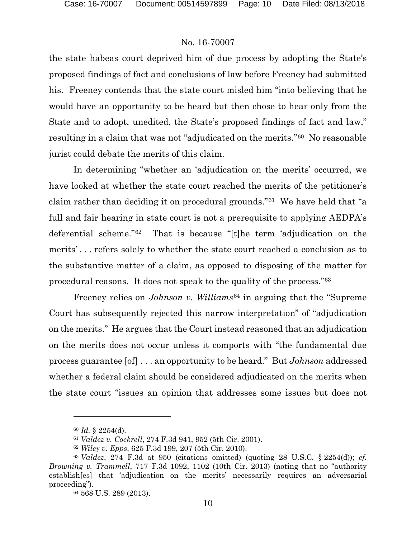the state habeas court deprived him of due process by adopting the State's proposed findings of fact and conclusions of law before Freeney had submitted his. Freeney contends that the state court misled him "into believing that he would have an opportunity to be heard but then chose to hear only from the State and to adopt, unedited, the State's proposed findings of fact and law," resulting in a claim that was not "adjudicated on the merits."[60](#page-9-0) No reasonable jurist could debate the merits of this claim.

In determining "whether an 'adjudication on the merits' occurred, we have looked at whether the state court reached the merits of the petitioner's claim rather than deciding it on procedural grounds."[61](#page-9-1) We have held that "a full and fair hearing in state court is not a prerequisite to applying AEDPA's deferential scheme."[62](#page-9-2) That is because "[t]he term 'adjudication on the merits' . . . refers solely to whether the state court reached a conclusion as to the substantive matter of a claim, as opposed to disposing of the matter for procedural reasons. It does not speak to the quality of the process."[63](#page-9-3)

Freeney relies on *Johnson v. Williams*[64](#page-9-4) in arguing that the "Supreme Court has subsequently rejected this narrow interpretation" of "adjudication on the merits." He argues that the Court instead reasoned that an adjudication on the merits does not occur unless it comports with "the fundamental due process guarantee [of] . . . an opportunity to be heard." But *Johnson* addressed whether a federal claim should be considered adjudicated on the merits when the state court "issues an opinion that addresses some issues but does not

<sup>60</sup> *Id.* § 2254(d).

<sup>61</sup> *Valdez v. Cockrell*, 274 F.3d 941, 952 (5th Cir. 2001).

<sup>62</sup> *Wiley v. Epps*, 625 F.3d 199, 207 (5th Cir. 2010).

<span id="page-9-4"></span><span id="page-9-3"></span><span id="page-9-2"></span><span id="page-9-1"></span><span id="page-9-0"></span><sup>63</sup> *Valdez*, 274 F.3d at 950 (citations omitted) (quoting 28 U.S.C. § 2254(d)); *cf. Browning v. Trammell*, 717 F.3d 1092, 1102 (10th Cir. 2013) (noting that no "authority establish[es] that 'adjudication on the merits' necessarily requires an adversarial proceeding").

<sup>64</sup> 568 U.S. 289 (2013).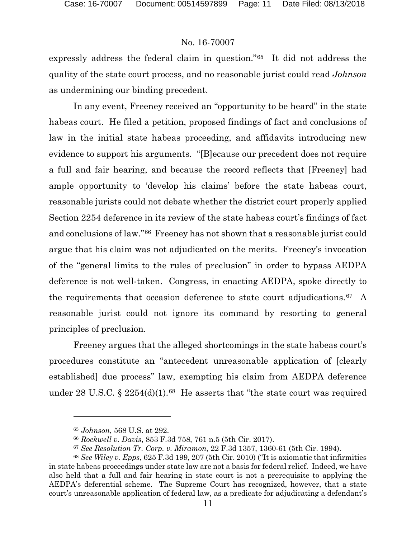expressly address the federal claim in question."[65](#page-10-0) It did not address the quality of the state court process, and no reasonable jurist could read *Johnson* as undermining our binding precedent.

In any event, Freeney received an "opportunity to be heard" in the state habeas court. He filed a petition, proposed findings of fact and conclusions of law in the initial state habeas proceeding, and affidavits introducing new evidence to support his arguments. "[B]ecause our precedent does not require a full and fair hearing, and because the record reflects that [Freeney] had ample opportunity to 'develop his claims' before the state habeas court, reasonable jurists could not debate whether the district court properly applied Section 2254 deference in its review of the state habeas court's findings of fact and conclusions of law."[66](#page-10-1) Freeney has not shown that a reasonable jurist could argue that his claim was not adjudicated on the merits. Freeney's invocation of the "general limits to the rules of preclusion" in order to bypass AEDPA deference is not well-taken. Congress, in enacting AEDPA, spoke directly to the requirements that occasion deference to state court adjudications.[67](#page-10-2) A reasonable jurist could not ignore its command by resorting to general principles of preclusion.

Freeney argues that the alleged shortcomings in the state habeas court's procedures constitute an "antecedent unreasonable application of [clearly established] due process" law, exempting his claim from AEDPA deference under 28 U.S.C.  $\S 2254(d)(1).$ <sup>68</sup> He asserts that "the state court was required

<sup>65</sup> *Johnson*, 568 U.S. at 292.

<sup>66</sup> *Rockwell v. Davis*, 853 F.3d 758, 761 n.5 (5th Cir. 2017).

<sup>67</sup> *See Resolution Tr. Corp. v. Miramon*, 22 F.3d 1357, 1360-61 (5th Cir. 1994).

<span id="page-10-3"></span><span id="page-10-2"></span><span id="page-10-1"></span><span id="page-10-0"></span><sup>68</sup> *See Wiley v. Epps*, 625 F.3d 199, 207 (5th Cir. 2010) ("It is axiomatic that infirmities in state habeas proceedings under state law are not a basis for federal relief. Indeed, we have also held that a full and fair hearing in state court is not a prerequisite to applying the AEDPA's deferential scheme. The Supreme Court has recognized, however, that a state court's unreasonable application of federal law, as a predicate for adjudicating a defendant's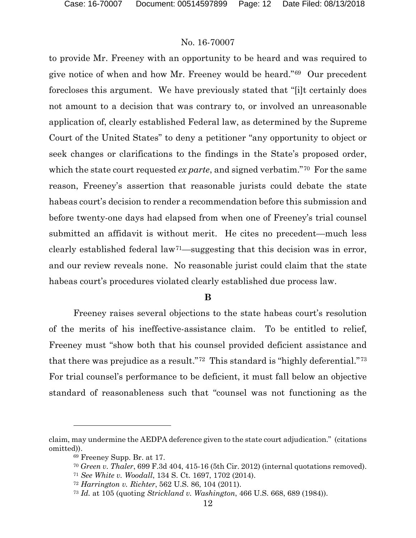to provide Mr. Freeney with an opportunity to be heard and was required to give notice of when and how Mr. Freeney would be heard."[69](#page-11-0) Our precedent forecloses this argument. We have previously stated that "[i]t certainly does not amount to a decision that was contrary to, or involved an unreasonable application of, clearly established Federal law, as determined by the Supreme Court of the United States" to deny a petitioner "any opportunity to object or seek changes or clarifications to the findings in the State's proposed order, which the state court requested *ex parte*, and signed verbatim."<sup>[70](#page-11-1)</sup> For the same reason, Freeney's assertion that reasonable jurists could debate the state habeas court's decision to render a recommendation before this submission and before twenty-one days had elapsed from when one of Freeney's trial counsel submitted an affidavit is without merit. He cites no precedent—much less clearly established federal law[71—](#page-11-2)suggesting that this decision was in error, and our review reveals none. No reasonable jurist could claim that the state habeas court's procedures violated clearly established due process law.

#### **B**

Freeney raises several objections to the state habeas court's resolution of the merits of his ineffective-assistance claim. To be entitled to relief, Freeney must "show both that his counsel provided deficient assistance and that there was prejudice as a result."[72](#page-11-3) This standard is "highly deferential."[73](#page-11-4) For trial counsel's performance to be deficient, it must fall below an objective standard of reasonableness such that "counsel was not functioning as the

<span id="page-11-4"></span><span id="page-11-3"></span><span id="page-11-2"></span><span id="page-11-1"></span><span id="page-11-0"></span>claim, may undermine the AEDPA deference given to the state court adjudication." (citations omitted)).

<sup>69</sup> Freeney Supp. Br. at 17.

<sup>70</sup> *Green v. Thaler*, 699 F.3d 404, 415-16 (5th Cir. 2012) (internal quotations removed).

<sup>71</sup> *See White v. Woodall*, 134 S. Ct. 1697, 1702 (2014).

<sup>72</sup> *Harrington v. Richter*, 562 U.S. 86, 104 (2011).

<sup>73</sup> *Id.* at 105 (quoting *Strickland v. Washington*, 466 U.S. 668, 689 (1984)).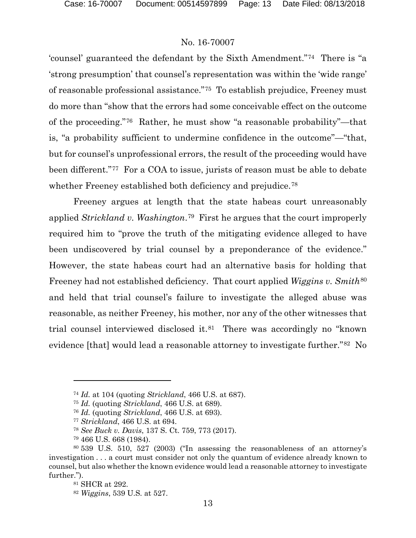'counsel' guaranteed the defendant by the Sixth Amendment."[74](#page-12-0) There is "a 'strong presumption' that counsel's representation was within the 'wide range' of reasonable professional assistance."[75](#page-12-1) To establish prejudice, Freeney must do more than "show that the errors had some conceivable effect on the outcome of the proceeding."[76](#page-12-2) Rather, he must show "a reasonable probability"—that is, "a probability sufficient to undermine confidence in the outcome"—"that, but for counsel's unprofessional errors, the result of the proceeding would have been different."[77](#page-12-3) For a COA to issue, jurists of reason must be able to debate whether Freeney established both deficiency and prejudice.<sup>[78](#page-12-4)</sup>

Freeney argues at length that the state habeas court unreasonably applied *Strickland v. Washington*.[79](#page-12-5) First he argues that the court improperly required him to "prove the truth of the mitigating evidence alleged to have been undiscovered by trial counsel by a preponderance of the evidence." However, the state habeas court had an alternative basis for holding that Freeney had not established deficiency. That court applied *Wiggins v. Smith*<sup>[80](#page-12-6)</sup> and held that trial counsel's failure to investigate the alleged abuse was reasonable, as neither Freeney, his mother, nor any of the other witnesses that trial counsel interviewed disclosed it.[81](#page-12-7) There was accordingly no "known evidence [that] would lead a reasonable attorney to investigate further."[82](#page-12-8) No

<span id="page-12-0"></span><sup>74</sup> *Id.* at 104 (quoting *Strickland*, 466 U.S. at 687).

<sup>75</sup> *Id.* (quoting *Strickland*, 466 U.S. at 689).

<sup>76</sup> *Id.* (quoting *Strickland*, 466 U.S. at 693).

<sup>77</sup> *Strickland*, 466 U.S. at 694.

<sup>78</sup> *See Buck v. Davis*, 137 S. Ct. 759, 773 (2017).

<sup>79</sup> 466 U.S. 668 (1984).

<span id="page-12-8"></span><span id="page-12-7"></span><span id="page-12-6"></span><span id="page-12-5"></span><span id="page-12-4"></span><span id="page-12-3"></span><span id="page-12-2"></span><span id="page-12-1"></span><sup>80</sup> 539 U.S. 510, 527 (2003) ("In assessing the reasonableness of an attorney's investigation . . . a court must consider not only the quantum of evidence already known to counsel, but also whether the known evidence would lead a reasonable attorney to investigate further.").

<sup>81</sup> SHCR at 292.

<sup>82</sup> *Wiggins*, 539 U.S. at 527.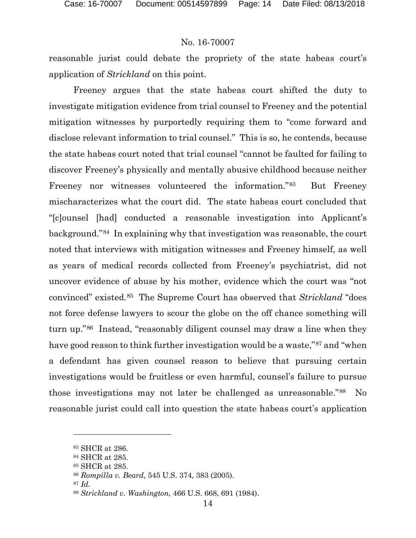reasonable jurist could debate the propriety of the state habeas court's application of *Strickland* on this point.

Freeney argues that the state habeas court shifted the duty to investigate mitigation evidence from trial counsel to Freeney and the potential mitigation witnesses by purportedly requiring them to "come forward and disclose relevant information to trial counsel." This is so, he contends, because the state habeas court noted that trial counsel "cannot be faulted for failing to discover Freeney's physically and mentally abusive childhood because neither Freeney nor witnesses volunteered the information."[83](#page-13-0) But Freeney mischaracterizes what the court did. The state habeas court concluded that "[c]ounsel [had] conducted a reasonable investigation into Applicant's background."[84](#page-13-1) In explaining why that investigation was reasonable, the court noted that interviews with mitigation witnesses and Freeney himself, as well as years of medical records collected from Freeney's psychiatrist, did not uncover evidence of abuse by his mother, evidence which the court was "not convinced" existed.[85](#page-13-2) The Supreme Court has observed that *Strickland* "does not force defense lawyers to scour the globe on the off chance something will turn up."[86](#page-13-3) Instead, "reasonably diligent counsel may draw a line when they have good reason to think further investigation would be a waste,"[87](#page-13-4) and "when a defendant has given counsel reason to believe that pursuing certain investigations would be fruitless or even harmful, counsel's failure to pursue those investigations may not later be challenged as unreasonable."[88](#page-13-5) No reasonable jurist could call into question the state habeas court's application

<span id="page-13-0"></span><sup>83</sup> SHCR at 286.

<span id="page-13-1"></span><sup>84</sup> SHCR at 285.

<span id="page-13-3"></span><span id="page-13-2"></span><sup>85</sup> SHCR at 285.

<sup>86</sup> *Rompilla v. Beard*, 545 U.S. 374, 383 (2005).

<span id="page-13-4"></span><sup>87</sup> *Id.*

<span id="page-13-5"></span><sup>88</sup> *Strickland v. Washington*, 466 U.S. 668, 691 (1984).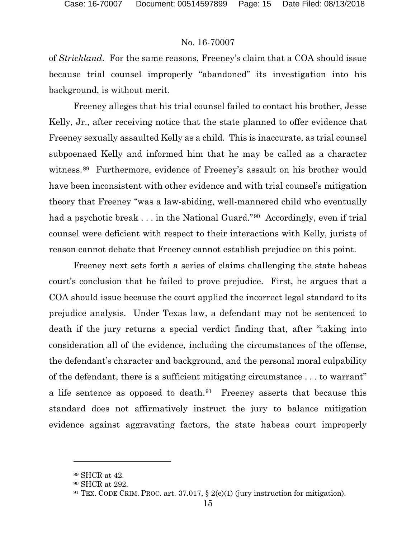of *Strickland*. For the same reasons, Freeney's claim that a COA should issue because trial counsel improperly "abandoned" its investigation into his background, is without merit.

Freeney alleges that his trial counsel failed to contact his brother, Jesse Kelly, Jr., after receiving notice that the state planned to offer evidence that Freeney sexually assaulted Kelly as a child. This is inaccurate, as trial counsel subpoenaed Kelly and informed him that he may be called as a character witness.<sup>[89](#page-14-0)</sup> Furthermore, evidence of Freeney's assault on his brother would have been inconsistent with other evidence and with trial counsel's mitigation theory that Freeney "was a law-abiding, well-mannered child who eventually had a psychotic break . . . in the National Guard."[90](#page-14-1) Accordingly, even if trial counsel were deficient with respect to their interactions with Kelly, jurists of reason cannot debate that Freeney cannot establish prejudice on this point.

Freeney next sets forth a series of claims challenging the state habeas court's conclusion that he failed to prove prejudice. First, he argues that a COA should issue because the court applied the incorrect legal standard to its prejudice analysis. Under Texas law, a defendant may not be sentenced to death if the jury returns a special verdict finding that, after "taking into consideration all of the evidence, including the circumstances of the offense, the defendant's character and background, and the personal moral culpability of the defendant, there is a sufficient mitigating circumstance . . . to warrant" a life sentence as opposed to death.[91](#page-14-2) Freeney asserts that because this standard does not affirmatively instruct the jury to balance mitigation evidence against aggravating factors, the state habeas court improperly

<span id="page-14-0"></span><sup>89</sup> SHCR at 42.

<span id="page-14-1"></span><sup>90</sup> SHCR at 292.

<span id="page-14-2"></span><sup>91</sup> TEX. CODE CRIM. PROC. art. 37.017, § 2(e)(1) (jury instruction for mitigation).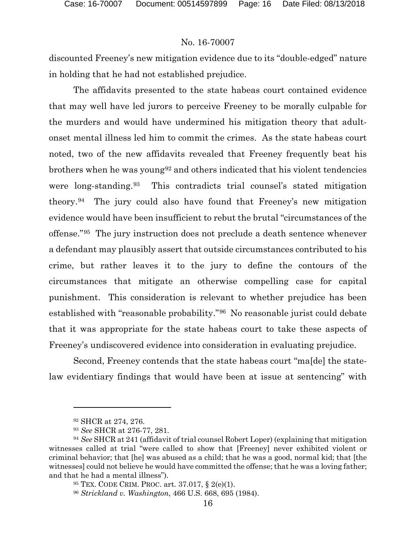discounted Freeney's new mitigation evidence due to its "double-edged" nature in holding that he had not established prejudice.

The affidavits presented to the state habeas court contained evidence that may well have led jurors to perceive Freeney to be morally culpable for the murders and would have undermined his mitigation theory that adultonset mental illness led him to commit the crimes. As the state habeas court noted, two of the new affidavits revealed that Freeney frequently beat his brothers when he was young<sup>[92](#page-15-0)</sup> and others indicated that his violent tendencies were long-standing.[93](#page-15-1) This contradicts trial counsel's stated mitigation theory.[94](#page-15-2) The jury could also have found that Freeney's new mitigation evidence would have been insufficient to rebut the brutal "circumstances of the offense."[95](#page-15-3) The jury instruction does not preclude a death sentence whenever a defendant may plausibly assert that outside circumstances contributed to his crime, but rather leaves it to the jury to define the contours of the circumstances that mitigate an otherwise compelling case for capital punishment. This consideration is relevant to whether prejudice has been established with "reasonable probability."[96](#page-15-4) No reasonable jurist could debate that it was appropriate for the state habeas court to take these aspects of Freeney's undiscovered evidence into consideration in evaluating prejudice.

Second, Freeney contends that the state habeas court "ma[de] the statelaw evidentiary findings that would have been at issue at sentencing" with

<sup>92</sup> SHCR at 274, 276.

<sup>93</sup> *See* SHCR at 276-77, 281.

<span id="page-15-4"></span><span id="page-15-3"></span><span id="page-15-2"></span><span id="page-15-1"></span><span id="page-15-0"></span><sup>94</sup> *See* SHCR at 241 (affidavit of trial counsel Robert Loper) (explaining that mitigation witnesses called at trial "were called to show that [Freeney] never exhibited violent or criminal behavior; that [he] was abused as a child; that he was a good, normal kid; that [the witnesses] could not believe he would have committed the offense; that he was a loving father; and that he had a mental illness").

<sup>95</sup> TEX. CODE CRIM. PROC. art. 37.017, § 2(e)(1).

<sup>96</sup> *Strickland v. Washington*, 466 U.S. 668, 695 (1984).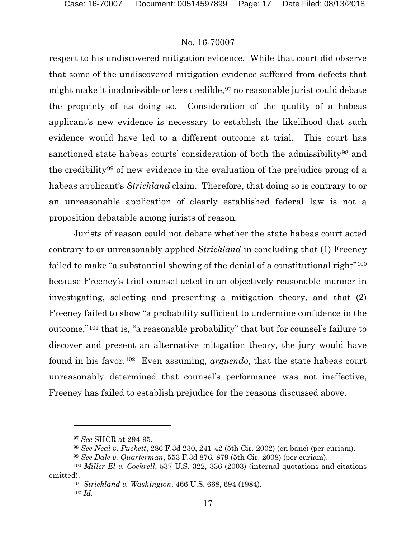respect to his undiscovered mitigation evidence. While that court did observe that some of the undiscovered mitigation evidence suffered from defects that might make it inadmissible or less credible,  $97$  no reasonable jurist could debate the propriety of its doing so. Consideration of the quality of a habeas applicant's new evidence is necessary to establish the likelihood that such evidence would have led to a different outcome at trial. This court has sanctioned state habeas courts' consideration of both the admissibility<sup>[98](#page-16-1)</sup> and the credibility[99](#page-16-2) of new evidence in the evaluation of the prejudice prong of a habeas applicant's *Strickland* claim. Therefore, that doing so is contrary to or an unreasonable application of clearly established federal law is not a proposition debatable among jurists of reason.

Jurists of reason could not debate whether the state habeas court acted contrary to or unreasonably applied *Strickland* in concluding that (1) Freeney failed to make "a substantial showing of the denial of a constitutional right"<sup>[100](#page-16-3)</sup> because Freeney's trial counsel acted in an objectively reasonable manner in investigating, selecting and presenting a mitigation theory, and that (2) Freeney failed to show "a probability sufficient to undermine confidence in the outcome,"[101](#page-16-4) that is, "a reasonable probability" that but for counsel's failure to discover and present an alternative mitigation theory, the jury would have found in his favor.[102](#page-16-5) Even assuming, *arguendo*, that the state habeas court unreasonably determined that counsel's performance was not ineffective, Freeney has failed to establish prejudice for the reasons discussed above.

<sup>97</sup> *See* SHCR at 294-95.

<sup>98</sup> *See Neal v. Puckett*, 286 F.3d 230, 241-42 (5th Cir. 2002) (en banc) (per curiam).

<sup>99</sup> *See Dale v. Quarterman*, 553 F.3d 876, 879 (5th Cir. 2008) (per curiam).

<span id="page-16-5"></span><span id="page-16-4"></span><span id="page-16-3"></span><span id="page-16-2"></span><span id="page-16-1"></span><span id="page-16-0"></span><sup>100</sup> *Miller-El v. Cockrell*, 537 U.S. 322, 336 (2003) (internal quotations and citations omitted).

<sup>101</sup> *Strickland v. Washington*, 466 U.S. 668, 694 (1984).

<sup>102</sup> *Id.*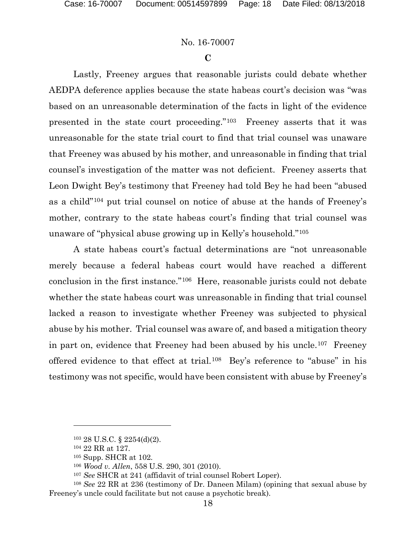#### **C**

Lastly, Freeney argues that reasonable jurists could debate whether AEDPA deference applies because the state habeas court's decision was "was based on an unreasonable determination of the facts in light of the evidence presented in the state court proceeding."[103](#page-17-0) Freeney asserts that it was unreasonable for the state trial court to find that trial counsel was unaware that Freeney was abused by his mother, and unreasonable in finding that trial counsel's investigation of the matter was not deficient. Freeney asserts that Leon Dwight Bey's testimony that Freeney had told Bey he had been "abused as a child"[104](#page-17-1) put trial counsel on notice of abuse at the hands of Freeney's mother, contrary to the state habeas court's finding that trial counsel was unaware of "physical abuse growing up in Kelly's household."[105](#page-17-2)

A state habeas court's factual determinations are "not unreasonable merely because a federal habeas court would have reached a different conclusion in the first instance."[106](#page-17-3) Here, reasonable jurists could not debate whether the state habeas court was unreasonable in finding that trial counsel lacked a reason to investigate whether Freeney was subjected to physical abuse by his mother. Trial counsel was aware of, and based a mitigation theory in part on, evidence that Freeney had been abused by his uncle.[107](#page-17-4) Freeney offered evidence to that effect at trial.[108](#page-17-5) Bey's reference to "abuse" in his testimony was not specific, would have been consistent with abuse by Freeney's

<sup>103</sup> 28 U.S.C. § 2254(d)(2).

<sup>104</sup> 22 RR at 127.

<sup>105</sup> Supp. SHCR at 102.

<sup>106</sup> *Wood v. Allen*, 558 U.S. 290, 301 (2010).

<sup>107</sup> *See* SHCR at 241 (affidavit of trial counsel Robert Loper).

<span id="page-17-5"></span><span id="page-17-4"></span><span id="page-17-3"></span><span id="page-17-2"></span><span id="page-17-1"></span><span id="page-17-0"></span><sup>108</sup> *See* 22 RR at 236 (testimony of Dr. Daneen Milam) (opining that sexual abuse by Freeney's uncle could facilitate but not cause a psychotic break).